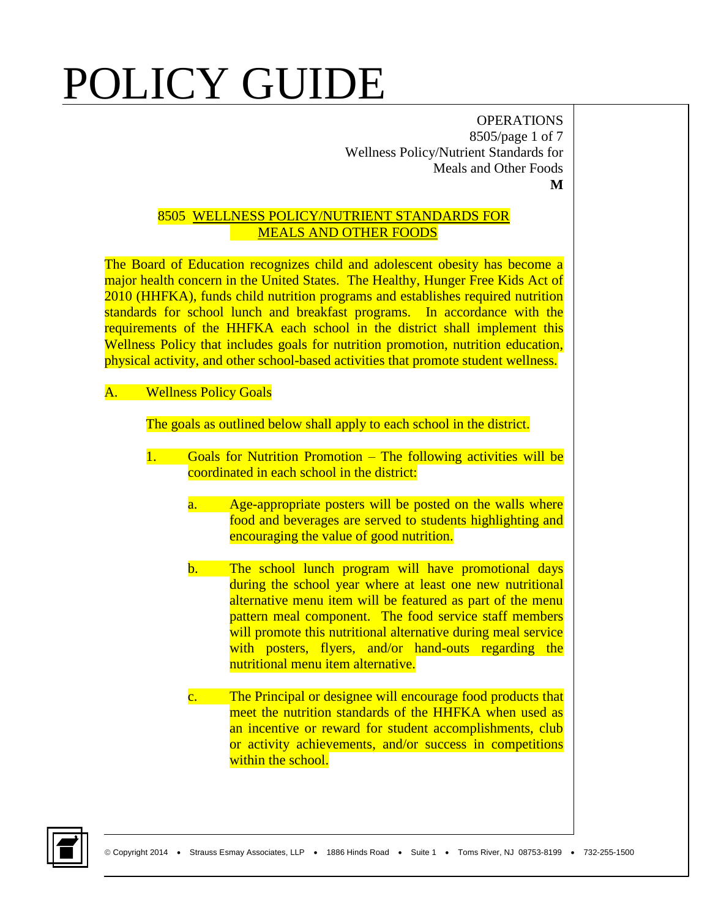OPERATIONS 8505/page 1 of 7 Wellness Policy/Nutrient Standards for Meals and Other Foods **M**

#### 8505 WELLNESS POLICY/NUTRIENT STANDARDS FOR MEALS AND OTHER FOODS

The Board of Education recognizes child and adolescent obesity has become a major health concern in the United States. The Healthy, Hunger Free Kids Act of 2010 (HHFKA), funds child nutrition programs and establishes required nutrition standards for school lunch and breakfast programs. In accordance with the requirements of the HHFKA each school in the district shall implement this Wellness Policy that includes goals for nutrition promotion, nutrition education, physical activity, and other school-based activities that promote student wellness.

### A. Wellness Policy Goals

The goals as outlined below shall apply to each school in the district.

- 1. Goals for Nutrition Promotion The following activities will be coordinated in each school in the district:
	- a. Age-appropriate posters will be posted on the walls where food and beverages are served to students highlighting and encouraging the value of good nutrition.
	- b. The school lunch program will have promotional days during the school year where at least one new nutritional alternative menu item will be featured as part of the menu pattern meal component. The food service staff members will promote this nutritional alternative during meal service with posters, flyers, and/or hand-outs regarding the nutritional menu item alternative.
	- c. The Principal or designee will encourage food products that meet the nutrition standards of the HHFKA when used as an incentive or reward for student accomplishments, club or activity achievements, and/or success in competitions within the school.

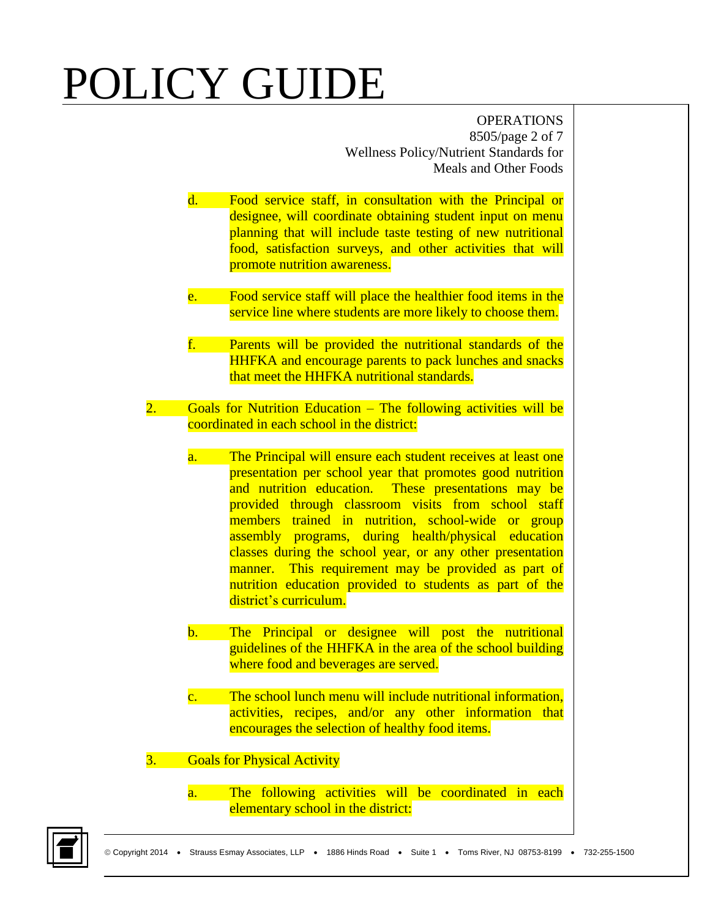OPERATIONS 8505/page 2 of 7 Wellness Policy/Nutrient Standards for Meals and Other Foods

- d. Food service staff, in consultation with the Principal or designee, will coordinate obtaining student input on menu planning that will include taste testing of new nutritional food, satisfaction surveys, and other activities that will promote nutrition awareness.
- e. Food service staff will place the healthier food items in the service line where students are more likely to choose them.
- f. Parents will be provided the nutritional standards of the HHFKA and encourage parents to pack lunches and snacks that meet the HHFKA nutritional standards.
- 2. Goals for Nutrition Education The following activities will be coordinated in each school in the district:
	- a. The Principal will ensure each student receives at least one presentation per school year that promotes good nutrition and nutrition education. These presentations may be provided through classroom visits from school staff members trained in nutrition, school-wide or group assembly programs, during health/physical education classes during the school year, or any other presentation manner. This requirement may be provided as part of nutrition education provided to students as part of the district's curriculum.
	- b. The Principal or designee will post the nutritional guidelines of the HHFKA in the area of the school building where food and beverages are served.
	- c. The school lunch menu will include nutritional information, activities, recipes, and/or any other information that encourages the selection of healthy food items.
- 3. Goals for Physical Activity
	- a. The following activities will be coordinated in each elementary school in the district:

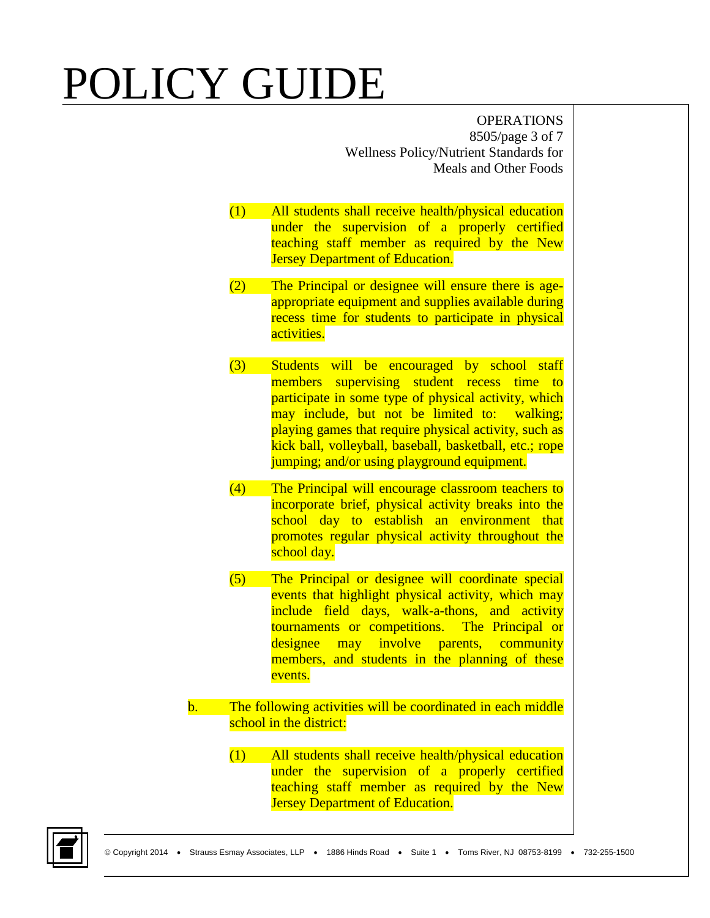OPERATIONS 8505/page 3 of 7 Wellness Policy/Nutrient Standards for Meals and Other Foods

- (1) All students shall receive health/physical education under the supervision of a properly certified teaching staff member as required by the New **Jersey Department of Education.**
- (2) The Principal or designee will ensure there is ageappropriate equipment and supplies available during recess time for students to participate in physical activities.
- (3) Students will be encouraged by school staff members supervising student recess time to participate in some type of physical activity, which may include, but not be limited to: walking; playing games that require physical activity, such as kick ball, volleyball, baseball, basketball, etc.; rope jumping; and/or using playground equipment.
- (4) The Principal will encourage classroom teachers to incorporate brief, physical activity breaks into the school day to establish an environment that promotes regular physical activity throughout the school day.
- (5) The Principal or designee will coordinate special events that highlight physical activity, which may include field days, walk-a-thons, and activity tournaments or competitions. The Principal or designee may involve parents, community members, and students in the planning of these events.
- b. The following activities will be coordinated in each middle school in the district:
	- (1) All students shall receive health/physical education under the supervision of a properly certified teaching staff member as required by the New **Jersey Department of Education.**

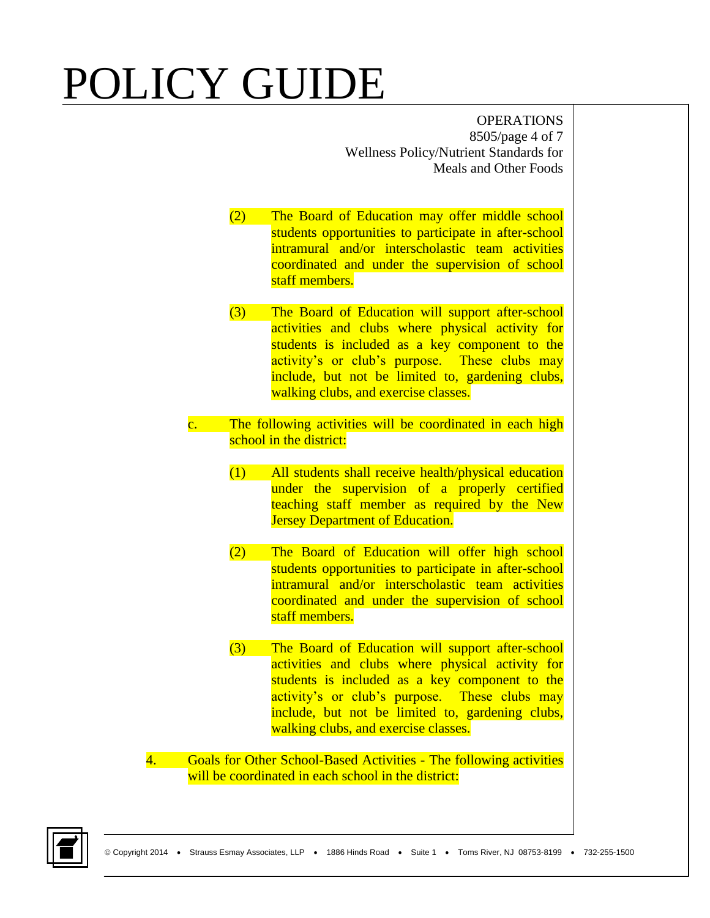OPERATIONS 8505/page 4 of 7 Wellness Policy/Nutrient Standards for Meals and Other Foods

- (2) The Board of Education may offer middle school students opportunities to participate in after-school intramural and/or interscholastic team activities coordinated and under the supervision of school staff members.
- (3) The Board of Education will support after-school activities and clubs where physical activity for students is included as a key component to the activity's or club's purpose. These clubs may include, but not be limited to, gardening clubs, walking clubs, and exercise classes.
- c. The following activities will be coordinated in each high school in the district:
	- (1) All students shall receive health/physical education under the supervision of a properly certified teaching staff member as required by the New **Jersey Department of Education.**
	- (2) The Board of Education will offer high school students opportunities to participate in after-school intramural and/or interscholastic team activities coordinated and under the supervision of school staff members.
	- (3) The Board of Education will support after-school activities and clubs where physical activity for students is included as a key component to the activity's or club's purpose. These clubs may include, but not be limited to, gardening clubs, walking clubs, and exercise classes.
- 4. Goals for Other School-Based Activities The following activities will be coordinated in each school in the district:

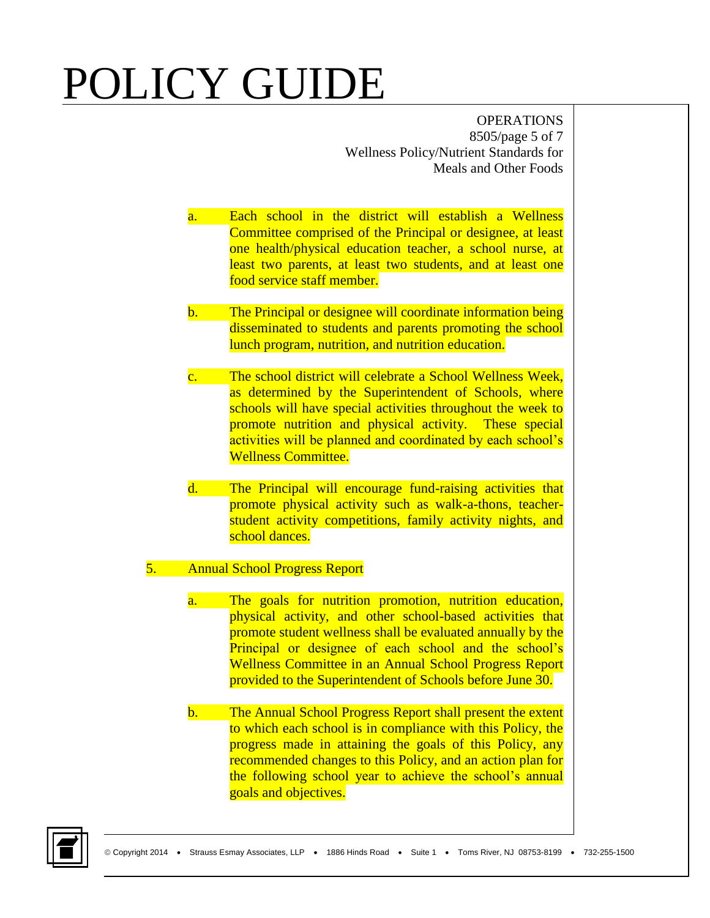OPERATIONS 8505/page 5 of 7 Wellness Policy/Nutrient Standards for Meals and Other Foods

- a. Each school in the district will establish a Wellness Committee comprised of the Principal or designee, at least one health/physical education teacher, a school nurse, at least two parents, at least two students, and at least one food service staff member.
- b. The Principal or designee will coordinate information being disseminated to students and parents promoting the school lunch program, nutrition, and nutrition education.
- c. The school district will celebrate a School Wellness Week, as determined by the Superintendent of Schools, where schools will have special activities throughout the week to promote nutrition and physical activity. These special activities will be planned and coordinated by each school's Wellness Committee.
- d. The Principal will encourage fund-raising activities that promote physical activity such as walk-a-thons, teacherstudent activity competitions, family activity nights, and school dances.

### 5. Annual School Progress Report

- a. The goals for nutrition promotion, nutrition education, physical activity, and other school-based activities that promote student wellness shall be evaluated annually by the Principal or designee of each school and the school's Wellness Committee in an Annual School Progress Report provided to the Superintendent of Schools before June 30.
- b. The Annual School Progress Report shall present the extent to which each school is in compliance with this Policy, the progress made in attaining the goals of this Policy, any recommended changes to this Policy, and an action plan for the following school year to achieve the school's annual goals and objectives.

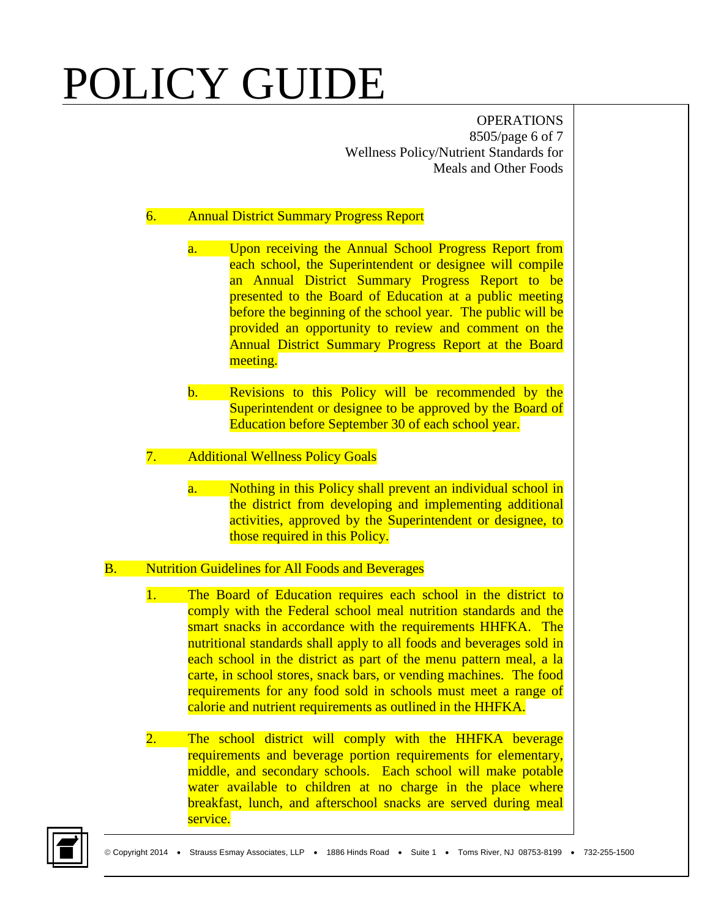OPERATIONS 8505/page 6 of 7 Wellness Policy/Nutrient Standards for Meals and Other Foods

#### 6. Annual District Summary Progress Report

- a. Upon receiving the Annual School Progress Report from each school, the Superintendent or designee will compile an Annual District Summary Progress Report to be presented to the Board of Education at a public meeting before the beginning of the school year. The public will be provided an opportunity to review and comment on the Annual District Summary Progress Report at the Board meeting.
- b. Revisions to this Policy will be recommended by the Superintendent or designee to be approved by the Board of Education before September 30 of each school year.

#### 7. Additional Wellness Policy Goals

a. Nothing in this Policy shall prevent an individual school in the district from developing and implementing additional activities, approved by the Superintendent or designee, to those required in this Policy.

#### B. Nutrition Guidelines for All Foods and Beverages

- 1. The Board of Education requires each school in the district to comply with the Federal school meal nutrition standards and the smart snacks in accordance with the requirements HHFKA. The nutritional standards shall apply to all foods and beverages sold in each school in the district as part of the menu pattern meal, a la carte, in school stores, snack bars, or vending machines. The food requirements for any food sold in schools must meet a range of calorie and nutrient requirements as outlined in the HHFKA.
- 2. The school district will comply with the HHFKA beverage requirements and beverage portion requirements for elementary, middle, and secondary schools. Each school will make potable water available to children at no charge in the place where breakfast, lunch, and afterschool snacks are served during meal service.